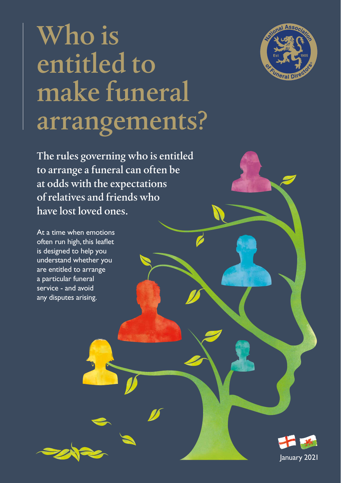

## Who is entitled to make funeral arrangements?

The rules governing who is entitled to arrange a funeral can often be at odds with the expectations of relatives and friends who have lost loved ones.

At a time when emotions often run high, this leaflet is designed to help you understand whether you are entitled to arrange a particular funeral service - and avoid any disputes arising.

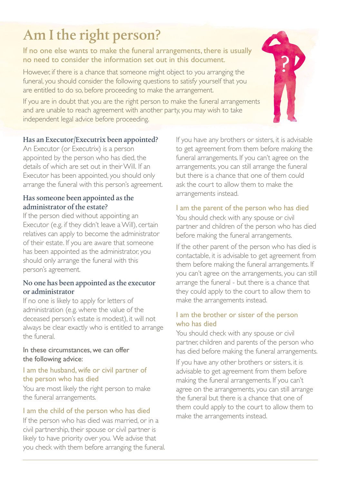## Am I the right person?

#### If no one else wants to make the funeral arrangements, there is usually no need to consider the information set out in this document.

However, if there is a chance that someone might object to you arranging the funeral, you should consider the following questions to satisfy yourself that you are entitled to do so, before proceeding to make the arrangement.

If you are in doubt that you are the right person to make the funeral arrangements and are unable to reach agreement with another party, you may wish to take independent legal advice before proceeding.

#### Has an Executor/Executrix been appointed?

An Executor (or Executrix) is a person appointed by the person who has died, the details of which are set out in their Will. If an Executor has been appointed, you should only arrange the funeral with this person's agreement.

#### Has someone been appointed as the administrator of the estate?

If the person died without appointing an Executor (e.g. if they didn't leave a Will), certain relatives can apply to become the administrator of their estate. If you are aware that someone has been appointed as the administrator, you should only arrange the funeral with this person's agreement.

#### No one has been appointed as the executor or administrator

If no one is likely to apply for letters of administration (e.g. where the value of the deceased person's estate is modest), it will not always be clear exactly who is entitled to arrange the funeral.

#### In these circumstances, we can offer the following advice:

#### I am the husband, wife or civil partner of the person who has died

You are most likely the right person to make the funeral arrangements.

#### I am the child of the person who has died

If the person who has died was married, or in a civil partnership, their spouse or civil partner is likely to have priority over you. We advise that you check with them before arranging the funeral. If you have any brothers or sisters, it is advisable to get agreement from them before making the funeral arrangements. If you can't agree on the arrangements, you can still arrange the funeral but there is a chance that one of them could ask the court to allow them to make the arrangements instead.

#### I am the parent of the person who has died

You should check with any spouse or civil partner and children of the person who has died before making the funeral arrangements.

If the other parent of the person who has died is contactable, it is advisable to get agreement from them before making the funeral arrangements. If you can't agree on the arrangements, you can still arrange the funeral - but there is a chance that they could apply to the court to allow them to make the arrangements instead.

#### I am the brother or sister of the person who has died

You should check with any spouse or civil partner, children and parents of the person who has died before making the funeral arrangements.

If you have any other brothers or sisters, it is advisable to get agreement from them before making the funeral arrangements. If you can't agree on the arrangements, you can still arrange the funeral but there is a chance that one of them could apply to the court to allow them to make the arrangements instead.

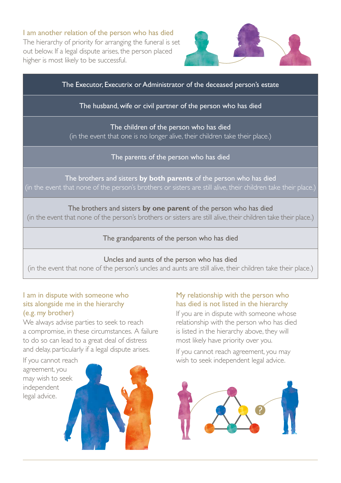I am another relation of the person who has died The hierarchy of priority for arranging the funeral is set out below. If a legal dispute arises, the person placed higher is most likely to be successful.



The Executor, Executrix or Administrator of the deceased person's estate

#### The husband, wife or civil partner of the person who has died

The children of the person who has died (in the event that one is no longer alive, their children take their place.)

The parents of the person who has died

The brothers and sisters **by both parents** of the person who has died (in the event that none of the person's brothers or sisters are still alive, their children take their place.)

The brothers and sisters **by one parent** of the person who has died (in the event that none of the person's brothers or sisters are still alive, their children take their place.)

The grandparents of the person who has died

#### Uncles and aunts of the person who has died

(in the event that none of the person's uncles and aunts are still alive, their children take their place.)

#### I am in dispute with someone who sits alongside me in the hierarchy (e.g. my brother)

We always advise parties to seek to reach a compromise, in these circumstances. A failure to do so can lead to a great deal of distress and delay, particularly if a legal dispute arises.

If you cannot reach agreement, you may wish to seek independent legal advice.



#### My relationship with the person who has died is not listed in the hierarchy

If you are in dispute with someone whose relationship with the person who has died is listed in the hierarchy above, they will most likely have priority over you.

If you cannot reach agreement, you may wish to seek independent legal advice.